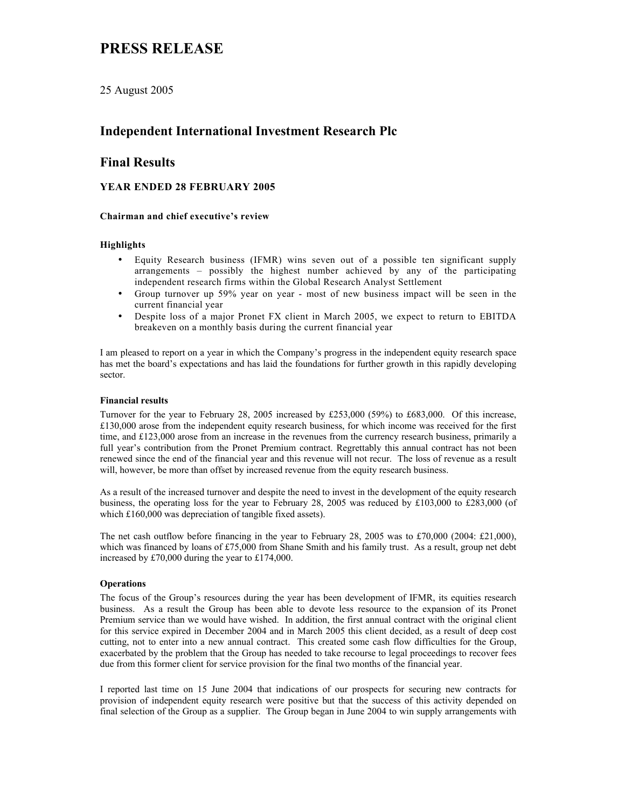# **PRESS RELEASE**

25 August 2005

## **Independent International Investment Research Plc**

## **Final Results**

## **YEAR ENDED 28 FEBRUARY 2005**

#### **Chairman and chief executive's review**

#### **Highlights**

- Equity Research business (IFMR) wins seven out of a possible ten significant supply arrangements – possibly the highest number achieved by any of the participating independent research firms within the Global Research Analyst Settlement
- Group turnover up 59% year on year most of new business impact will be seen in the current financial year
- Despite loss of a major Pronet FX client in March 2005, we expect to return to EBITDA breakeven on a monthly basis during the current financial year

I am pleased to report on a year in which the Company's progress in the independent equity research space has met the board's expectations and has laid the foundations for further growth in this rapidly developing sector.

#### **Financial results**

Turnover for the year to February 28, 2005 increased by £253,000 (59%) to £683,000. Of this increase, £130,000 arose from the independent equity research business, for which income was received for the first time, and £123,000 arose from an increase in the revenues from the currency research business, primarily a full year's contribution from the Pronet Premium contract. Regrettably this annual contract has not been renewed since the end of the financial year and this revenue will not recur. The loss of revenue as a result will, however, be more than offset by increased revenue from the equity research business.

As a result of the increased turnover and despite the need to invest in the development of the equity research business, the operating loss for the year to February 28, 2005 was reduced by £103,000 to £283,000 (of which £160,000 was depreciation of tangible fixed assets).

The net cash outflow before financing in the year to February 28, 2005 was to £70,000 (2004: £21,000), which was financed by loans of  $£75,000$  from Shane Smith and his family trust. As a result, group net debt increased by £70,000 during the year to £174,000.

#### **Operations**

The focus of the Group's resources during the year has been development of IFMR, its equities research business. As a result the Group has been able to devote less resource to the expansion of its Pronet Premium service than we would have wished. In addition, the first annual contract with the original client for this service expired in December 2004 and in March 2005 this client decided, as a result of deep cost cutting, not to enter into a new annual contract. This created some cash flow difficulties for the Group, exacerbated by the problem that the Group has needed to take recourse to legal proceedings to recover fees due from this former client for service provision for the final two months of the financial year.

I reported last time on 15 June 2004 that indications of our prospects for securing new contracts for provision of independent equity research were positive but that the success of this activity depended on final selection of the Group as a supplier. The Group began in June 2004 to win supply arrangements with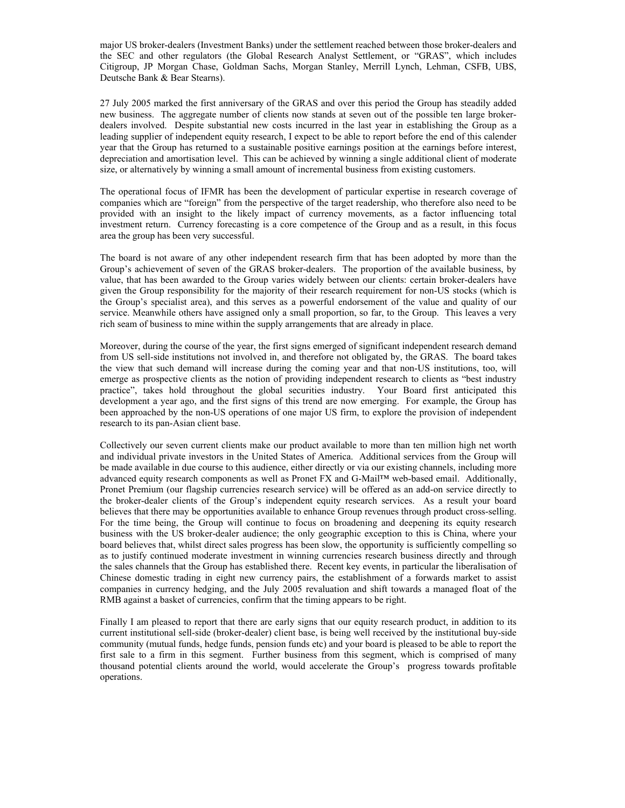major US broker-dealers (Investment Banks) under the settlement reached between those broker-dealers and the SEC and other regulators (the Global Research Analyst Settlement, or "GRAS", which includes Citigroup, JP Morgan Chase, Goldman Sachs, Morgan Stanley, Merrill Lynch, Lehman, CSFB, UBS, Deutsche Bank & Bear Stearns).

27 July 2005 marked the first anniversary of the GRAS and over this period the Group has steadily added new business. The aggregate number of clients now stands at seven out of the possible ten large brokerdealers involved. Despite substantial new costs incurred in the last year in establishing the Group as a leading supplier of independent equity research, I expect to be able to report before the end of this calender year that the Group has returned to a sustainable positive earnings position at the earnings before interest, depreciation and amortisation level. This can be achieved by winning a single additional client of moderate size, or alternatively by winning a small amount of incremental business from existing customers.

The operational focus of IFMR has been the development of particular expertise in research coverage of companies which are "foreign" from the perspective of the target readership, who therefore also need to be provided with an insight to the likely impact of currency movements, as a factor influencing total investment return. Currency forecasting is a core competence of the Group and as a result, in this focus area the group has been very successful.

The board is not aware of any other independent research firm that has been adopted by more than the Group's achievement of seven of the GRAS broker-dealers. The proportion of the available business, by value, that has been awarded to the Group varies widely between our clients: certain broker-dealers have given the Group responsibility for the majority of their research requirement for non-US stocks (which is the Group's specialist area), and this serves as a powerful endorsement of the value and quality of our service. Meanwhile others have assigned only a small proportion, so far, to the Group. This leaves a very rich seam of business to mine within the supply arrangements that are already in place.

Moreover, during the course of the year, the first signs emerged of significant independent research demand from US sell-side institutions not involved in, and therefore not obligated by, the GRAS. The board takes the view that such demand will increase during the coming year and that non-US institutions, too, will emerge as prospective clients as the notion of providing independent research to clients as "best industry practice", takes hold throughout the global securities industry. Your Board first anticipated this development a year ago, and the first signs of this trend are now emerging. For example, the Group has been approached by the non-US operations of one major US firm, to explore the provision of independent research to its pan-Asian client base.

Collectively our seven current clients make our product available to more than ten million high net worth and individual private investors in the United States of America. Additional services from the Group will be made available in due course to this audience, either directly or via our existing channels, including more advanced equity research components as well as Pronet FX and G-Mail™ web-based email. Additionally, Pronet Premium (our flagship currencies research service) will be offered as an add-on service directly to the broker-dealer clients of the Group's independent equity research services. As a result your board believes that there may be opportunities available to enhance Group revenues through product cross-selling. For the time being, the Group will continue to focus on broadening and deepening its equity research business with the US broker-dealer audience; the only geographic exception to this is China, where your board believes that, whilst direct sales progress has been slow, the opportunity is sufficiently compelling so as to justify continued moderate investment in winning currencies research business directly and through the sales channels that the Group has established there. Recent key events, in particular the liberalisation of Chinese domestic trading in eight new currency pairs, the establishment of a forwards market to assist companies in currency hedging, and the July 2005 revaluation and shift towards a managed float of the RMB against a basket of currencies, confirm that the timing appears to be right.

Finally I am pleased to report that there are early signs that our equity research product, in addition to its current institutional sell-side (broker-dealer) client base, is being well received by the institutional buy-side community (mutual funds, hedge funds, pension funds etc) and your board is pleased to be able to report the first sale to a firm in this segment. Further business from this segment, which is comprised of many thousand potential clients around the world, would accelerate the Group's progress towards profitable operations.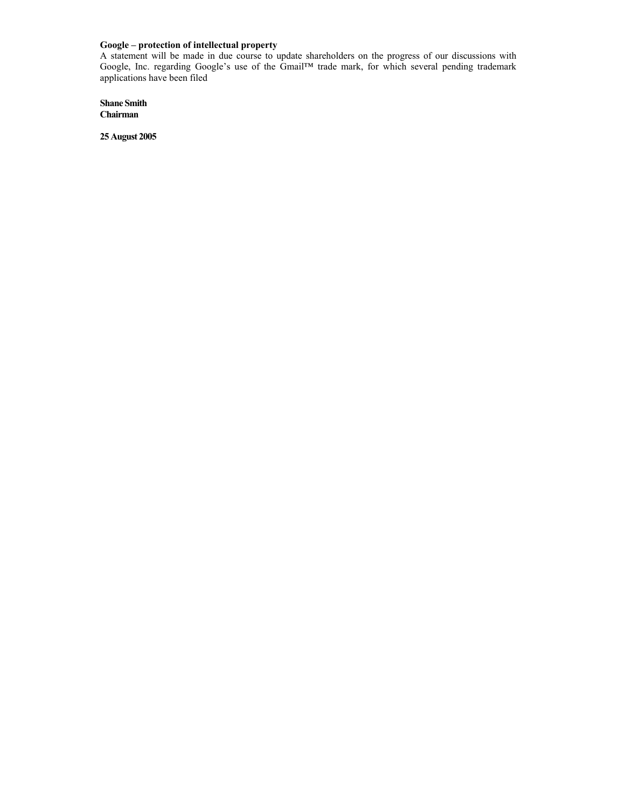## **Google – protection of intellectual property**

A statement will be made in due course to update shareholders on the progress of our discussions with Google, Inc. regarding Google's use of the Gmail™ trade mark, for which several pending trademark applications have been filed

**Shane Smith Chairman** 

**25 August 2005**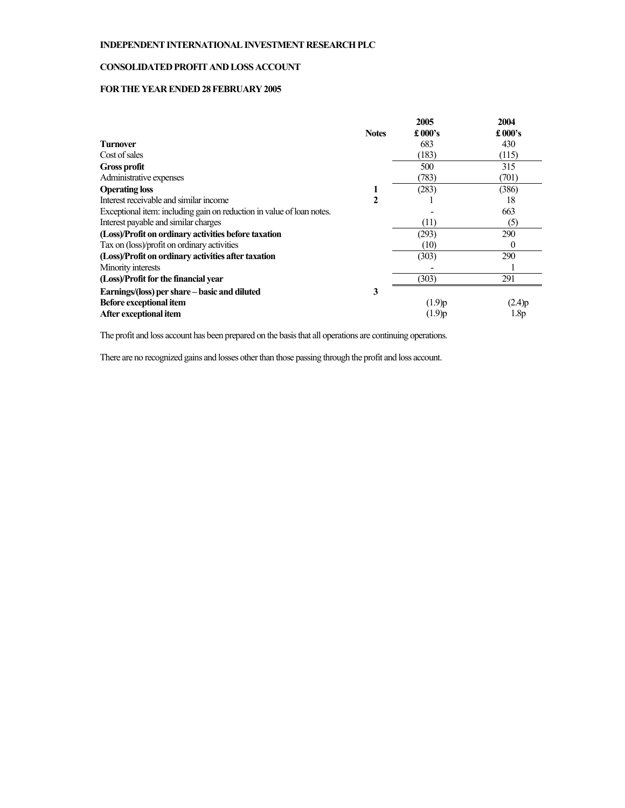## **INDEPENDENT INTERNATIONAL INVESTMENT RESEARCH PLC**

## **CONSOLIDATED PROFIT AND LOSS ACCOUNT**

#### **FOR THE YEAR ENDED 28 FEBRUARY 2005**

|                                                                       |              | 2005    | 2004             |
|-----------------------------------------------------------------------|--------------|---------|------------------|
|                                                                       | <b>Notes</b> | £ 000's | £ 000's          |
| <b>Turnover</b>                                                       |              | 683     | 430              |
| Cost of sales                                                         |              | (183)   | (115)            |
| <b>Gross profit</b>                                                   |              | 500     | 315              |
| Administrative expenses                                               |              | (783)   | (701)            |
| <b>Operating loss</b>                                                 |              | (283)   | (386)            |
| Interest receivable and similar income                                |              |         | 18               |
| Exceptional item: including gain on reduction in value of loan notes. |              |         | 663              |
| Interest payable and similar charges                                  |              | (11)    | (5)              |
| (Loss)/Profit on ordinary activities before taxation                  |              | (293)   | 290              |
| Tax on (loss)/profit on ordinary activities                           |              | (10)    | $\Omega$         |
| (Loss)/Profit on ordinary activities after taxation                   |              | (303)   | 290              |
| Minority interests                                                    |              |         |                  |
| (Loss)/Profit for the financial year                                  |              | (303)   | 291              |
| Earnings/(loss) per share – basic and diluted                         | 3            |         |                  |
| <b>Before exceptional item</b>                                        |              | (1.9)p  | (2.4)p           |
| After exceptional item                                                |              | (1.9)p  | 1.8 <sub>p</sub> |

The profit and loss account has been prepared on the basis that all operations are continuing operations.

There are no recognized gains and losses other than those passing through the profit and loss account.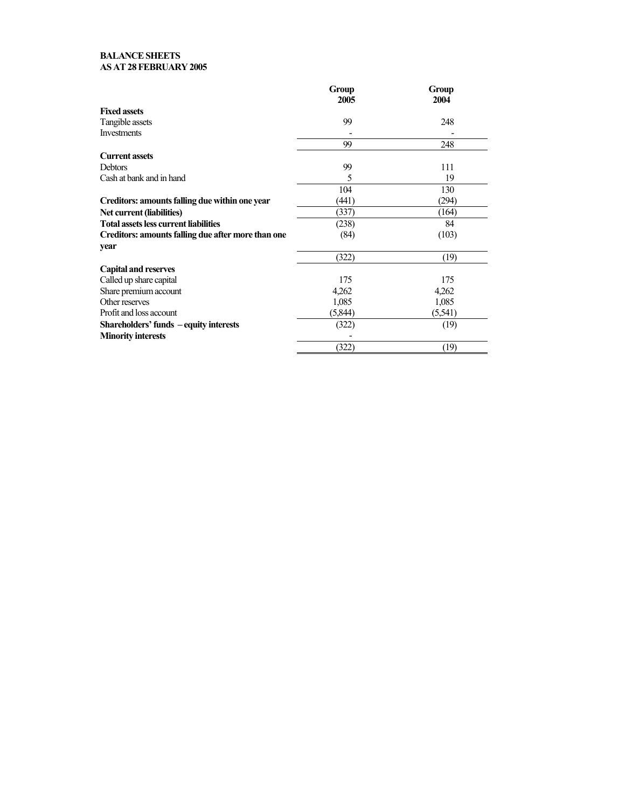### **BALANCE SHEETS AS AT 28 FEBRUARY 2005**

|                                                    | <b>Group</b><br>2005 | <b>Group</b><br>2004 |
|----------------------------------------------------|----------------------|----------------------|
| <b>Fixed assets</b>                                |                      |                      |
| Tangible assets                                    | 99                   | 248                  |
| Investments                                        |                      |                      |
|                                                    | 99                   | 248                  |
| <b>Current assets</b>                              |                      |                      |
| <b>Debtors</b>                                     | 99                   | 111                  |
| Cash at bank and in hand                           | 5                    | 19                   |
|                                                    | 104                  | 130                  |
| Creditors: amounts falling due within one year     | (441)                | (294)                |
| <b>Net current (liabilities)</b>                   | (337)                | (164)                |
| <b>Total assets less current liabilities</b>       | (238)                | 84                   |
| Creditors: amounts falling due after more than one | (84)                 | (103)                |
| year                                               |                      |                      |
|                                                    | (322)                | (19)                 |
| <b>Capital and reserves</b>                        |                      |                      |
| Called up share capital                            | 175                  | 175                  |
| Share premium account                              | 4,262                | 4.262                |
| Other reserves                                     | 1,085                | 1,085                |
| Profit and loss account                            | (5,844)              | (5,541)              |
| Shareholders' funds – equity interests             | (322)                | (19)                 |
| <b>Minority interests</b>                          |                      |                      |
|                                                    | (322)                | (19)                 |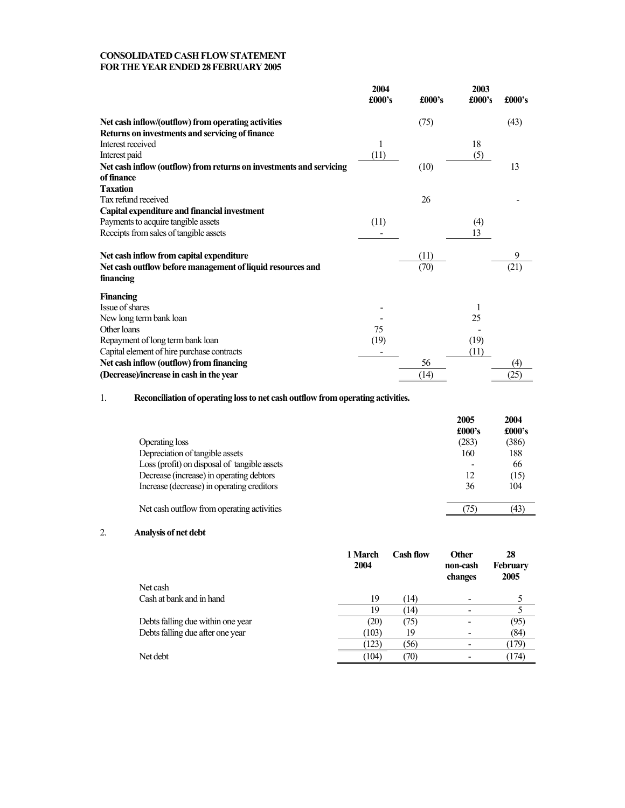#### **CONSOLIDATED CASH FLOW STATEMENT FOR THE YEAR ENDED 28 FEBRUARY 2005**

|                                                                     | 2004<br>£000's | £000's | 2003<br>£000's | £000's |
|---------------------------------------------------------------------|----------------|--------|----------------|--------|
| Net cash inflow/(outflow) from operating activities                 |                | (75)   |                | (43)   |
| Returns on investments and servicing of finance                     |                |        |                |        |
| Interest received                                                   | 1              |        | 18             |        |
| Interest paid                                                       | (11)           |        | (5)            |        |
| Net cash inflow (outflow) from returns on investments and servicing |                | (10)   |                | 13     |
| of finance                                                          |                |        |                |        |
| <b>Taxation</b>                                                     |                |        |                |        |
| Tax refind received                                                 |                | 26     |                |        |
| Capital expenditure and financial investment                        |                |        |                |        |
| Payments to acquire tangible assets                                 | (11)           |        | (4)<br>13      |        |
| Receipts from sales of tangible assets                              |                |        |                |        |
| Net cash inflow from capital expenditure                            |                | (11)   |                | 9      |
| Net cash outflow before management of liquid resources and          |                | (70)   |                | (21)   |
| financing                                                           |                |        |                |        |
| <b>Financing</b>                                                    |                |        |                |        |
| Issue of shares                                                     |                |        |                |        |
| New long term bank loan                                             |                |        | 25             |        |
| Other loans                                                         | 75             |        |                |        |
| Repayment of long term bank loan                                    | (19)           |        | (19)           |        |
| Capital element of hire purchase contracts                          |                |        | (11)           |        |
| Net cash inflow (outflow) from financing                            |                | 56     |                | (4)    |
| (Decrease)/increase in cash in the year                             |                | (14)   |                | (25)   |

1. **Reconciliation of operating loss to net cash outflow from operating activities.** 

|                                              | 2005   | 2004   |
|----------------------------------------------|--------|--------|
|                                              | £000's | £000's |
| Operating loss                               | (283)  | (386)  |
| Depreciation of tangible assets              | 160    | 188    |
| Loss (profit) on disposal of tangible assets |        | 66     |
| Decrease (increase) in operating debtors     | 12     | (15)   |
| Increase (decrease) in operating creditors   | 36     | 104    |
| Net cash outflow from operating activities   |        | '43    |

## 2. **Analysis of net debt**

|                                   | 1 March<br>2004 | Cash flow | <b>Other</b><br>non-cash<br>changes | 28<br><b>February</b><br>2005 |
|-----------------------------------|-----------------|-----------|-------------------------------------|-------------------------------|
| Net cash                          |                 |           |                                     |                               |
| Cash at bank and in hand          | 19              | (14)      |                                     |                               |
|                                   | 19              | [14]      |                                     |                               |
| Debts falling due within one year | (20)            | (75)      | $\overline{\phantom{0}}$            | (95)                          |
| Debts falling due after one year  | (103)           | 19        |                                     | (84)                          |
|                                   | (123)           | (56)      |                                     | (179                          |
| Net debt                          | (104)           | 70)       |                                     | (174)                         |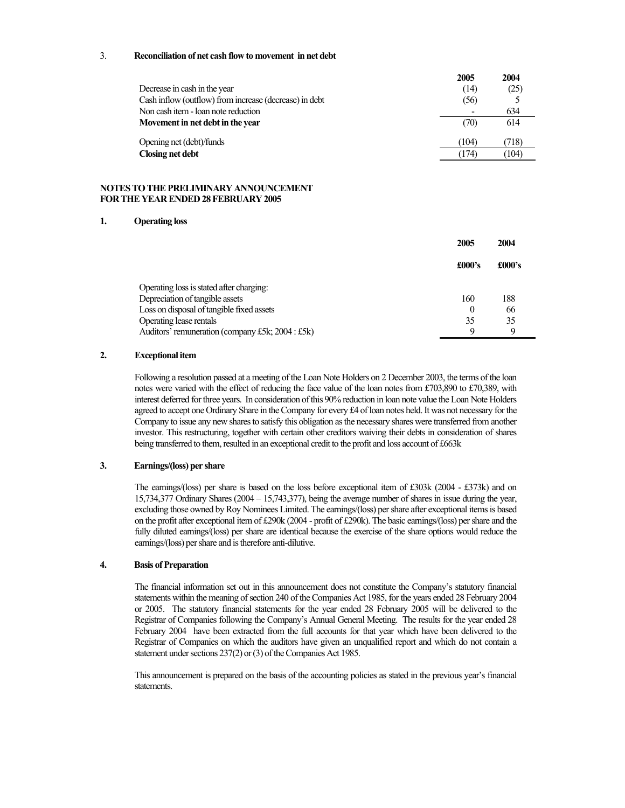#### 3. **Reconciliation of net cash flow to movement in net debt**

|                                                        | 2005  | 2004  |
|--------------------------------------------------------|-------|-------|
| Decrease in cash in the year                           | (14)  | (25)  |
| Cash inflow (outflow) from increase (decrease) in debt | (56)  |       |
| Non cash item - loan note reduction                    |       | 634   |
| Movement in net debt in the year                       | (70)  | 614   |
| Opening net (debt)/funds                               | (104) | (718) |
| Closing net debt                                       | (174) | (104) |

#### **NOTES TO THE PRELIMINARY ANNOUNCEMENT FOR THE YEAR ENDED 28 FEBRUARY 2005**

#### **1. Operating loss**

|                                                  | 2005   | 2004   |
|--------------------------------------------------|--------|--------|
|                                                  | £000's | £000's |
| Operating loss is stated after charging:         |        |        |
| Depreciation of tangible assets                  | 160    | 188    |
| Loss on disposal of tangible fixed assets        |        | 66     |
| Operating lease rentals                          | 35     | 35     |
| Auditors' remuneration (company £5k; 2004 : £5k) | Q      | 9      |

### **2. Exceptional item**

Following a resolution passed at a meeting of the Loan Note Holders on 2 December 2003, the terms of the loan notes were varied with the effect of reducing the face value of the loan notes from £703,890 to £70,389, with interest deferred for three years. In consideration of this 90% reduction in loan note value the Loan Note Holders agreed to accept one Ordinary Share in the Company for every £4 of loan notes held. It was not necessary for the Company to issue any new shares to satisfy this obligation as the necessary shares were transferred from another investor. This restructuring, together with certain other creditors waiving their debts in consideration of shares being transferred to them, resulted in an exceptional credit to the profit and loss account of £663k

#### **3. Earnings/(loss) per share**

The earnings/(loss) per share is based on the loss before exceptional item of £303k (2004 - £373k) and on 15,734,377 Ordinary Shares (2004 – 15,743,377), being the average number of shares in issue during the year, excluding those owned by Roy Nominees Limited. The earnings/(loss) per share after exceptional items is based on the profit after exceptional item of £290k (2004 - profit of £290k). The basic earnings/(loss) per share and the fully diluted earnings/(loss) per share are identical because the exercise of the share options would reduce the earnings/(loss) per share and is therefore anti-dilutive.

#### **4. Basis of Preparation**

The financial information set out in this announcement does not constitute the Company's statutory financial statements within the meaning of section 240 of the Companies Act 1985, for the years ended 28 February 2004 or 2005. The statutory financial statements for the year ended 28 February 2005 will be delivered to the Registrar of Companies following the Company's Annual General Meeting. The results for the year ended 28 February 2004 have been extracted from the full accounts for that year which have been delivered to the Registrar of Companies on which the auditors have given an unqualified report and which do not contain a statement under sections 237(2) or (3) of the Companies Act 1985.

This announcement is prepared on the basis of the accounting policies as stated in the previous year's financial statements.